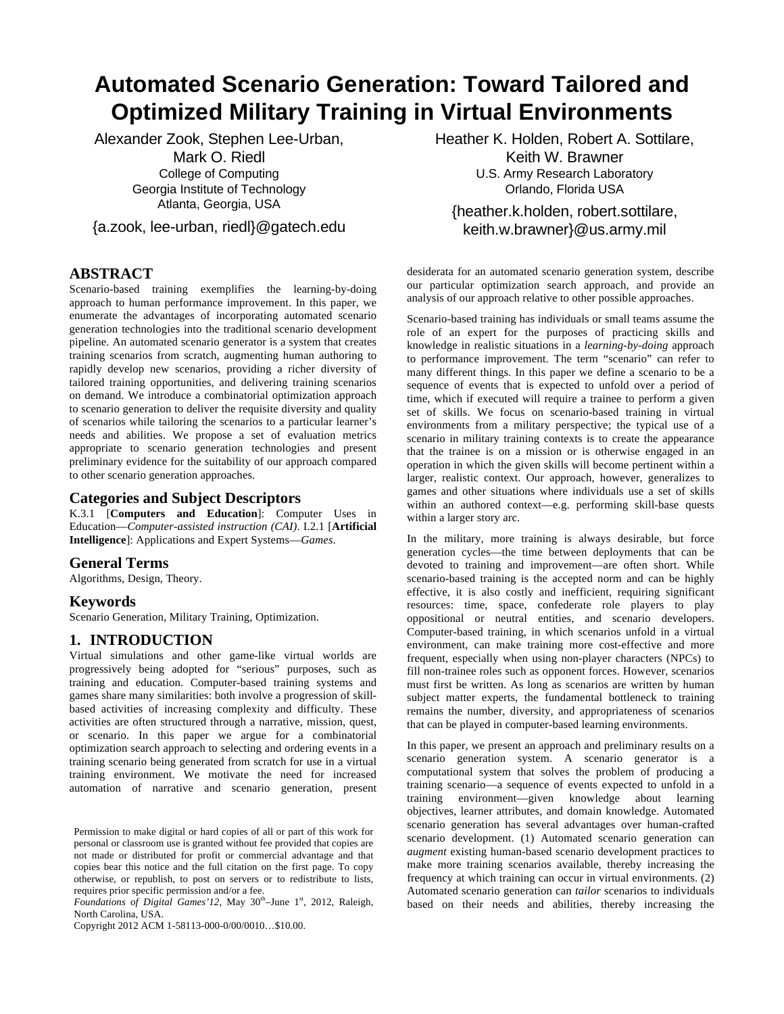# **Automated Scenario Generation: Toward Tailored and Optimized Military Training in Virtual Environments**

Alexander Zook, Stephen Lee-Urban, Mark O. Riedl College of Computing Georgia Institute of Technology Atlanta, Georgia, USA

{a.zook, lee-urban, riedl}@gatech.edu

# **ABSTRACT**

Scenario-based training exemplifies the learning-by-doing approach to human performance improvement. In this paper, we enumerate the advantages of incorporating automated scenario generation technologies into the traditional scenario development pipeline. An automated scenario generator is a system that creates training scenarios from scratch, augmenting human authoring to rapidly develop new scenarios, providing a richer diversity of tailored training opportunities, and delivering training scenarios on demand. We introduce a combinatorial optimization approach to scenario generation to deliver the requisite diversity and quality of scenarios while tailoring the scenarios to a particular learner's needs and abilities. We propose a set of evaluation metrics appropriate to scenario generation technologies and present preliminary evidence for the suitability of our approach compared to other scenario generation approaches.

# **Categories and Subject Descriptors**

K.3.1 [**Computers and Education**]: Computer Uses in Education—*Computer-assisted instruction (CAI)*. I.2.1 [**Artificial Intelligence**]: Applications and Expert Systems—*Games*.

# **General Terms**

Algorithms, Design, Theory.

# **Keywords**

Scenario Generation, Military Training, Optimization.

# **1. INTRODUCTION**

Virtual simulations and other game-like virtual worlds are progressively being adopted for "serious" purposes, such as training and education. Computer-based training systems and games share many similarities: both involve a progression of skillbased activities of increasing complexity and difficulty. These activities are often structured through a narrative, mission, quest, or scenario. In this paper we argue for a combinatorial optimization search approach to selecting and ordering events in a training scenario being generated from scratch for use in a virtual training environment. We motivate the need for increased automation of narrative and scenario generation, present

*Foundations of Digital Games'12*, May 30<sup>th</sup>–June 1<sup>st</sup>, 2012, Raleigh, North Carolina, USA.

Copyright 2012 ACM 1-58113-000-0/00/0010…\$10.00.

Heather K. Holden, Robert A. Sottilare, Keith W. Brawner U.S. Army Research Laboratory Orlando, Florida USA

{heather.k.holden, robert.sottilare, keith.w.brawner}@us.army.mil

desiderata for an automated scenario generation system, describe our particular optimization search approach, and provide an analysis of our approach relative to other possible approaches.

Scenario-based training has individuals or small teams assume the role of an expert for the purposes of practicing skills and knowledge in realistic situations in a *learning-by-doing* approach to performance improvement. The term "scenario" can refer to many different things. In this paper we define a scenario to be a sequence of events that is expected to unfold over a period of time, which if executed will require a trainee to perform a given set of skills. We focus on scenario-based training in virtual environments from a military perspective; the typical use of a scenario in military training contexts is to create the appearance that the trainee is on a mission or is otherwise engaged in an operation in which the given skills will become pertinent within a larger, realistic context. Our approach, however, generalizes to games and other situations where individuals use a set of skills within an authored context—e.g. performing skill-base quests within a larger story arc.

In the military, more training is always desirable, but force generation cycles—the time between deployments that can be devoted to training and improvement—are often short. While scenario-based training is the accepted norm and can be highly effective, it is also costly and inefficient, requiring significant resources: time, space, confederate role players to play oppositional or neutral entities, and scenario developers. Computer-based training, in which scenarios unfold in a virtual environment, can make training more cost-effective and more frequent, especially when using non-player characters (NPCs) to fill non-trainee roles such as opponent forces. However, scenarios must first be written. As long as scenarios are written by human subject matter experts, the fundamental bottleneck to training remains the number, diversity, and appropriateness of scenarios that can be played in computer-based learning environments.

In this paper, we present an approach and preliminary results on a scenario generation system. A scenario generator is a computational system that solves the problem of producing a training scenario—a sequence of events expected to unfold in a training environment—given knowledge about learning objectives, learner attributes, and domain knowledge. Automated scenario generation has several advantages over human-crafted scenario development. (1) Automated scenario generation can *augment* existing human-based scenario development practices to make more training scenarios available, thereby increasing the frequency at which training can occur in virtual environments. (2) Automated scenario generation can *tailor* scenarios to individuals based on their needs and abilities, thereby increasing the

Permission to make digital or hard copies of all or part of this work for personal or classroom use is granted without fee provided that copies are not made or distributed for profit or commercial advantage and that copies bear this notice and the full citation on the first page. To copy otherwise, or republish, to post on servers or to redistribute to lists, requires prior specific permission and/or a fee.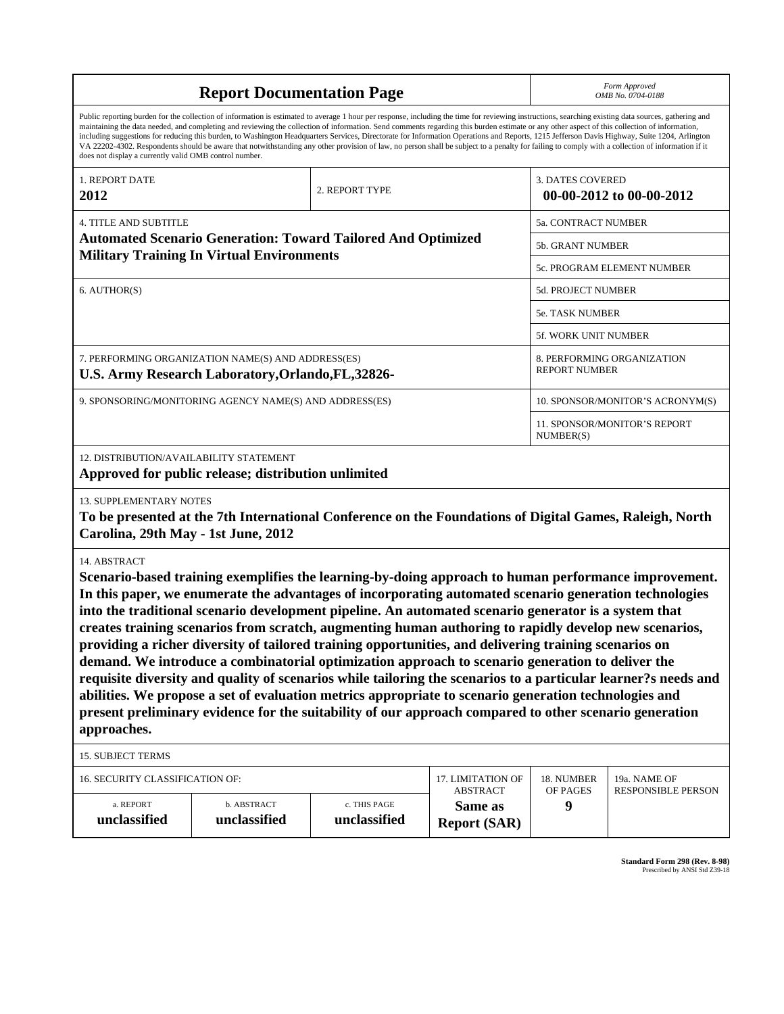| <b>Report Documentation Page</b>                                                                                                                                                                                                                                                                                                                                                                                                                                                                                                                                                                                                                                                                                                                                                                                                                                                                                                                                                                                 |                             |                              |                                                   | Form Approved<br>OMB No. 0704-0188                 |                                           |  |
|------------------------------------------------------------------------------------------------------------------------------------------------------------------------------------------------------------------------------------------------------------------------------------------------------------------------------------------------------------------------------------------------------------------------------------------------------------------------------------------------------------------------------------------------------------------------------------------------------------------------------------------------------------------------------------------------------------------------------------------------------------------------------------------------------------------------------------------------------------------------------------------------------------------------------------------------------------------------------------------------------------------|-----------------------------|------------------------------|---------------------------------------------------|----------------------------------------------------|-------------------------------------------|--|
| Public reporting burden for the collection of information is estimated to average 1 hour per response, including the time for reviewing instructions, searching existing data sources, gathering and<br>maintaining the data needed, and completing and reviewing the collection of information. Send comments regarding this burden estimate or any other aspect of this collection of information,<br>including suggestions for reducing this burden, to Washington Headquarters Services, Directorate for Information Operations and Reports, 1215 Jefferson Davis Highway, Suite 1204, Arlington<br>VA 22202-4302. Respondents should be aware that notwithstanding any other provision of law, no person shall be subject to a penalty for failing to comply with a collection of information if it<br>does not display a currently valid OMB control number.                                                                                                                                               |                             |                              |                                                   |                                                    |                                           |  |
| 1. REPORT DATE<br>2012                                                                                                                                                                                                                                                                                                                                                                                                                                                                                                                                                                                                                                                                                                                                                                                                                                                                                                                                                                                           |                             | 2. REPORT TYPE               |                                                   | <b>3. DATES COVERED</b>                            | 00-00-2012 to 00-00-2012                  |  |
| <b>4. TITLE AND SUBTITLE</b>                                                                                                                                                                                                                                                                                                                                                                                                                                                                                                                                                                                                                                                                                                                                                                                                                                                                                                                                                                                     |                             |                              |                                                   | 5a. CONTRACT NUMBER                                |                                           |  |
| <b>Automated Scenario Generation: Toward Tailored And Optimized</b><br><b>Military Training In Virtual Environments</b>                                                                                                                                                                                                                                                                                                                                                                                                                                                                                                                                                                                                                                                                                                                                                                                                                                                                                          |                             |                              |                                                   | 5b. GRANT NUMBER                                   |                                           |  |
|                                                                                                                                                                                                                                                                                                                                                                                                                                                                                                                                                                                                                                                                                                                                                                                                                                                                                                                                                                                                                  |                             |                              |                                                   | 5c. PROGRAM ELEMENT NUMBER                         |                                           |  |
| 6. AUTHOR(S)                                                                                                                                                                                                                                                                                                                                                                                                                                                                                                                                                                                                                                                                                                                                                                                                                                                                                                                                                                                                     |                             |                              |                                                   | 5d. PROJECT NUMBER                                 |                                           |  |
|                                                                                                                                                                                                                                                                                                                                                                                                                                                                                                                                                                                                                                                                                                                                                                                                                                                                                                                                                                                                                  |                             |                              |                                                   | 5e. TASK NUMBER                                    |                                           |  |
|                                                                                                                                                                                                                                                                                                                                                                                                                                                                                                                                                                                                                                                                                                                                                                                                                                                                                                                                                                                                                  |                             |                              |                                                   | 5f. WORK UNIT NUMBER                               |                                           |  |
| 7. PERFORMING ORGANIZATION NAME(S) AND ADDRESS(ES)<br>U.S. Army Research Laboratory, Orlando, FL, 32826-                                                                                                                                                                                                                                                                                                                                                                                                                                                                                                                                                                                                                                                                                                                                                                                                                                                                                                         |                             |                              |                                                   | 8. PERFORMING ORGANIZATION<br><b>REPORT NUMBER</b> |                                           |  |
| 9. SPONSORING/MONITORING AGENCY NAME(S) AND ADDRESS(ES)                                                                                                                                                                                                                                                                                                                                                                                                                                                                                                                                                                                                                                                                                                                                                                                                                                                                                                                                                          |                             |                              |                                                   | 10. SPONSOR/MONITOR'S ACRONYM(S)                   |                                           |  |
|                                                                                                                                                                                                                                                                                                                                                                                                                                                                                                                                                                                                                                                                                                                                                                                                                                                                                                                                                                                                                  |                             |                              |                                                   | 11. SPONSOR/MONITOR'S REPORT<br>NUMBER(S)          |                                           |  |
| 12. DISTRIBUTION/AVAILABILITY STATEMENT<br>Approved for public release; distribution unlimited                                                                                                                                                                                                                                                                                                                                                                                                                                                                                                                                                                                                                                                                                                                                                                                                                                                                                                                   |                             |                              |                                                   |                                                    |                                           |  |
| 13. SUPPLEMENTARY NOTES<br>To be presented at the 7th International Conference on the Foundations of Digital Games, Raleigh, North<br>Carolina, 29th May - 1st June, 2012                                                                                                                                                                                                                                                                                                                                                                                                                                                                                                                                                                                                                                                                                                                                                                                                                                        |                             |                              |                                                   |                                                    |                                           |  |
| 14. ABSTRACT<br>Scenario-based training exemplifies the learning-by-doing approach to human performance improvement.<br>In this paper, we enumerate the advantages of incorporating automated scenario generation technologies<br>into the traditional scenario development pipeline. An automated scenario generator is a system that<br>creates training scenarios from scratch, augmenting human authoring to rapidly develop new scenarios,<br>providing a richer diversity of tailored training opportunities, and delivering training scenarios on<br>demand. We introduce a combinatorial optimization approach to scenario generation to deliver the<br>requisite diversity and quality of scenarios while tailoring the scenarios to a particular learner?s needs and<br>abilities. We propose a set of evaluation metrics appropriate to scenario generation technologies and<br>present preliminary evidence for the suitability of our approach compared to other scenario generation<br>approaches. |                             |                              |                                                   |                                                    |                                           |  |
| <b>15. SUBJECT TERMS</b>                                                                                                                                                                                                                                                                                                                                                                                                                                                                                                                                                                                                                                                                                                                                                                                                                                                                                                                                                                                         |                             |                              |                                                   |                                                    |                                           |  |
| 16. SECURITY CLASSIFICATION OF:<br>17. LIMITATION OF                                                                                                                                                                                                                                                                                                                                                                                                                                                                                                                                                                                                                                                                                                                                                                                                                                                                                                                                                             |                             |                              |                                                   | 18. NUMBER<br>OF PAGES                             | 19a. NAME OF<br><b>RESPONSIBLE PERSON</b> |  |
| a. REPORT<br>unclassified                                                                                                                                                                                                                                                                                                                                                                                                                                                                                                                                                                                                                                                                                                                                                                                                                                                                                                                                                                                        | b. ABSTRACT<br>unclassified | c. THIS PAGE<br>unclassified | <b>ABSTRACT</b><br>Same as<br><b>Report (SAR)</b> | 9                                                  |                                           |  |

**Standard Form 298 (Rev. 8-98)**<br>Prescribed by ANSI Std Z39-18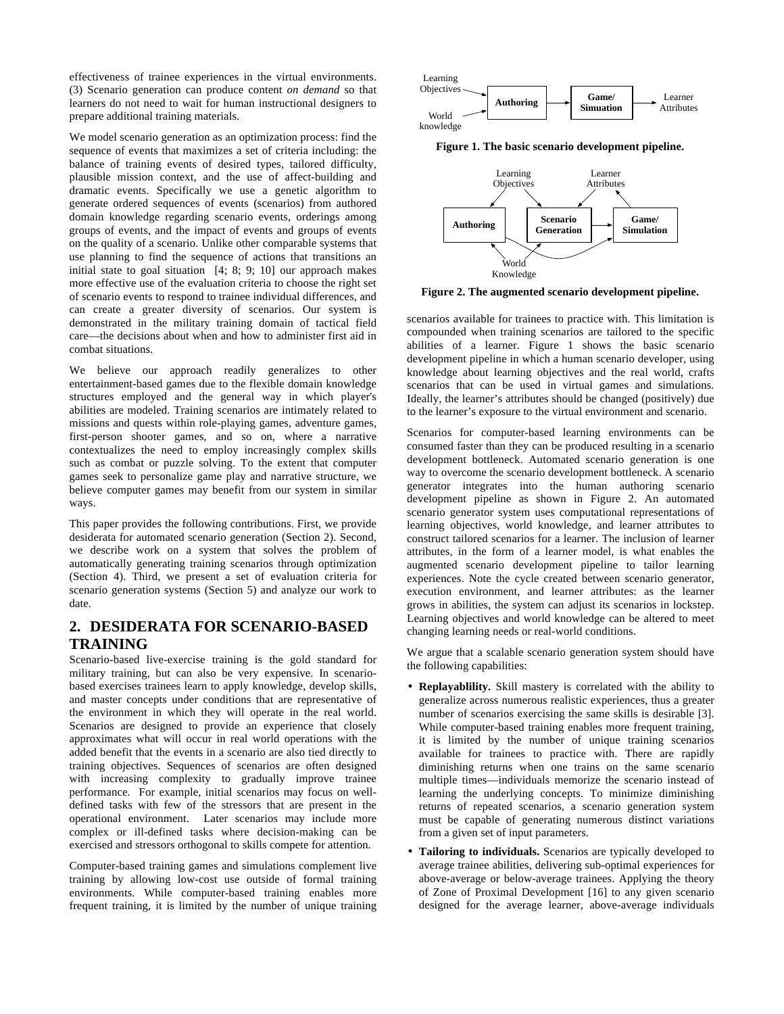effectiveness of trainee experiences in the virtual environments. (3) Scenario generation can produce content *on demand* so that learners do not need to wait for human instructional designers to prepare additional training materials.

We model scenario generation as an optimization process: find the sequence of events that maximizes a set of criteria including: the balance of training events of desired types, tailored difficulty, plausible mission context, and the use of affect-building and dramatic events. Specifically we use a genetic algorithm to generate ordered sequences of events (scenarios) from authored domain knowledge regarding scenario events, orderings among groups of events, and the impact of events and groups of events on the quality of a scenario. Unlike other comparable systems that use planning to find the sequence of actions that transitions an initial state to goal situation [4; 8; 9; 10] our approach makes more effective use of the evaluation criteria to choose the right set of scenario events to respond to trainee individual differences, and can create a greater diversity of scenarios. Our system is demonstrated in the military training domain of tactical field care—the decisions about when and how to administer first aid in combat situations.

We believe our approach readily generalizes to other entertainment-based games due to the flexible domain knowledge structures employed and the general way in which player's abilities are modeled. Training scenarios are intimately related to missions and quests within role-playing games, adventure games, first-person shooter games, and so on, where a narrative contextualizes the need to employ increasingly complex skills such as combat or puzzle solving. To the extent that computer games seek to personalize game play and narrative structure, we believe computer games may benefit from our system in similar ways.

This paper provides the following contributions. First, we provide desiderata for automated scenario generation (Section 2). Second, we describe work on a system that solves the problem of automatically generating training scenarios through optimization (Section 4). Third, we present a set of evaluation criteria for scenario generation systems (Section 5) and analyze our work to date.

# **2. DESIDERATA FOR SCENARIO-BASED TRAINING**

Scenario-based live-exercise training is the gold standard for military training, but can also be very expensive. In scenariobased exercises trainees learn to apply knowledge, develop skills, and master concepts under conditions that are representative of the environment in which they will operate in the real world. Scenarios are designed to provide an experience that closely approximates what will occur in real world operations with the added benefit that the events in a scenario are also tied directly to training objectives. Sequences of scenarios are often designed with increasing complexity to gradually improve trainee performance. For example, initial scenarios may focus on welldefined tasks with few of the stressors that are present in the operational environment. Later scenarios may include more complex or ill-defined tasks where decision-making can be exercised and stressors orthogonal to skills compete for attention.

Computer-based training games and simulations complement live training by allowing low-cost use outside of formal training environments. While computer-based training enables more frequent training, it is limited by the number of unique training



**Figure 1. The basic scenario development pipeline.**



**Figure 2. The augmented scenario development pipeline.**

scenarios available for trainees to practice with. This limitation is compounded when training scenarios are tailored to the specific abilities of a learner. Figure 1 shows the basic scenario development pipeline in which a human scenario developer, using knowledge about learning objectives and the real world, crafts scenarios that can be used in virtual games and simulations. Ideally, the learner's attributes should be changed (positively) due to the learner's exposure to the virtual environment and scenario.

Scenarios for computer-based learning environments can be consumed faster than they can be produced resulting in a scenario development bottleneck. Automated scenario generation is one way to overcome the scenario development bottleneck. A scenario generator integrates into the human authoring scenario development pipeline as shown in Figure 2. An automated scenario generator system uses computational representations of learning objectives, world knowledge, and learner attributes to construct tailored scenarios for a learner. The inclusion of learner attributes, in the form of a learner model, is what enables the augmented scenario development pipeline to tailor learning experiences. Note the cycle created between scenario generator, execution environment, and learner attributes: as the learner grows in abilities, the system can adjust its scenarios in lockstep. Learning objectives and world knowledge can be altered to meet changing learning needs or real-world conditions.

We argue that a scalable scenario generation system should have the following capabilities:

- **Replayablility.** Skill mastery is correlated with the ability to generalize across numerous realistic experiences, thus a greater number of scenarios exercising the same skills is desirable [3]. While computer-based training enables more frequent training, it is limited by the number of unique training scenarios available for trainees to practice with. There are rapidly diminishing returns when one trains on the same scenario multiple times—individuals memorize the scenario instead of learning the underlying concepts. To minimize diminishing returns of repeated scenarios, a scenario generation system must be capable of generating numerous distinct variations from a given set of input parameters.
- **Tailoring to individuals.** Scenarios are typically developed to average trainee abilities, delivering sub-optimal experiences for above-average or below-average trainees. Applying the theory of Zone of Proximal Development [16] to any given scenario designed for the average learner, above-average individuals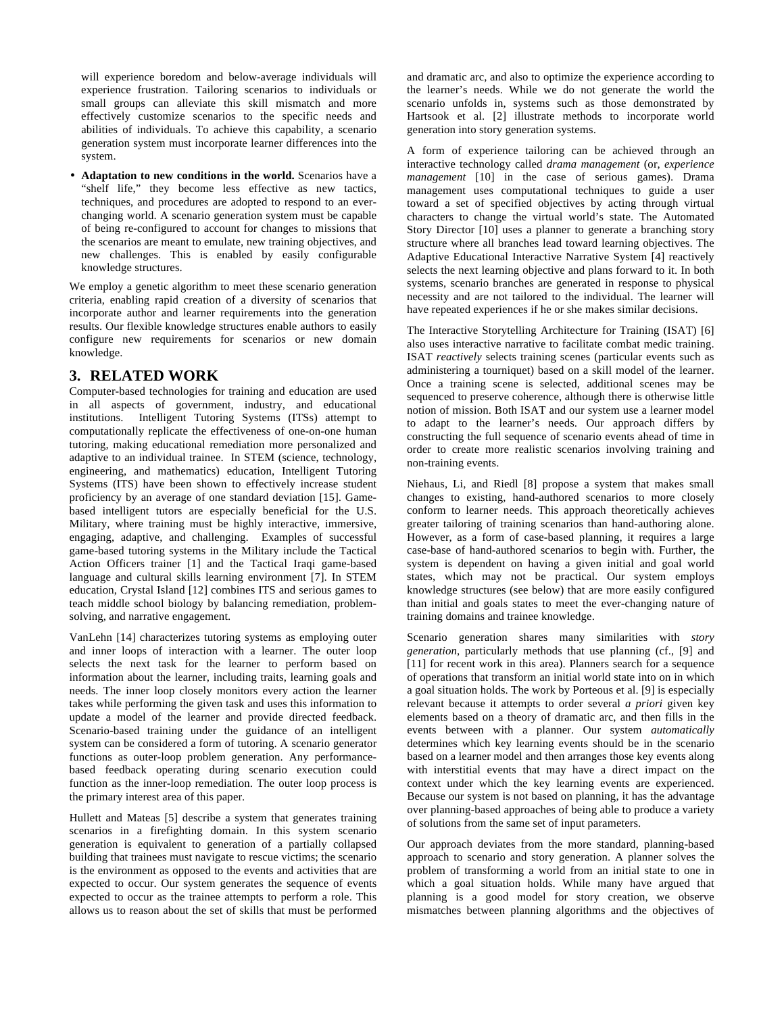will experience boredom and below-average individuals will experience frustration. Tailoring scenarios to individuals or small groups can alleviate this skill mismatch and more effectively customize scenarios to the specific needs and abilities of individuals. To achieve this capability, a scenario generation system must incorporate learner differences into the system.

• **Adaptation to new conditions in the world.** Scenarios have a "shelf life," they become less effective as new tactics, techniques, and procedures are adopted to respond to an everchanging world. A scenario generation system must be capable of being re-configured to account for changes to missions that the scenarios are meant to emulate, new training objectives, and new challenges. This is enabled by easily configurable knowledge structures.

We employ a genetic algorithm to meet these scenario generation criteria, enabling rapid creation of a diversity of scenarios that incorporate author and learner requirements into the generation results. Our flexible knowledge structures enable authors to easily configure new requirements for scenarios or new domain knowledge.

# **3. RELATED WORK**

Computer-based technologies for training and education are used in all aspects of government, industry, and educational institutions. Intelligent Tutoring Systems (ITSs) attempt to computationally replicate the effectiveness of one-on-one human tutoring, making educational remediation more personalized and adaptive to an individual trainee. In STEM (science, technology, engineering, and mathematics) education, Intelligent Tutoring Systems (ITS) have been shown to effectively increase student proficiency by an average of one standard deviation [15]. Gamebased intelligent tutors are especially beneficial for the U.S. Military, where training must be highly interactive, immersive, engaging, adaptive, and challenging. Examples of successful game-based tutoring systems in the Military include the Tactical Action Officers trainer [1] and the Tactical Iraqi game-based language and cultural skills learning environment [7]. In STEM education, Crystal Island [12] combines ITS and serious games to teach middle school biology by balancing remediation, problemsolving, and narrative engagement.

VanLehn [14] characterizes tutoring systems as employing outer and inner loops of interaction with a learner. The outer loop selects the next task for the learner to perform based on information about the learner, including traits, learning goals and needs. The inner loop closely monitors every action the learner takes while performing the given task and uses this information to update a model of the learner and provide directed feedback. Scenario-based training under the guidance of an intelligent system can be considered a form of tutoring. A scenario generator functions as outer-loop problem generation. Any performancebased feedback operating during scenario execution could function as the inner-loop remediation. The outer loop process is the primary interest area of this paper.

Hullett and Mateas [5] describe a system that generates training scenarios in a firefighting domain. In this system scenario generation is equivalent to generation of a partially collapsed building that trainees must navigate to rescue victims; the scenario is the environment as opposed to the events and activities that are expected to occur. Our system generates the sequence of events expected to occur as the trainee attempts to perform a role. This allows us to reason about the set of skills that must be performed

and dramatic arc, and also to optimize the experience according to the learner's needs. While we do not generate the world the scenario unfolds in, systems such as those demonstrated by Hartsook et al. [2] illustrate methods to incorporate world generation into story generation systems.

A form of experience tailoring can be achieved through an interactive technology called *drama management* (or, *experience management* [10] in the case of serious games). Drama management uses computational techniques to guide a user toward a set of specified objectives by acting through virtual characters to change the virtual world's state. The Automated Story Director [10] uses a planner to generate a branching story structure where all branches lead toward learning objectives. The Adaptive Educational Interactive Narrative System [4] reactively selects the next learning objective and plans forward to it. In both systems, scenario branches are generated in response to physical necessity and are not tailored to the individual. The learner will have repeated experiences if he or she makes similar decisions.

The Interactive Storytelling Architecture for Training (ISAT) [6] also uses interactive narrative to facilitate combat medic training. ISAT *reactively* selects training scenes (particular events such as administering a tourniquet) based on a skill model of the learner. Once a training scene is selected, additional scenes may be sequenced to preserve coherence, although there is otherwise little notion of mission. Both ISAT and our system use a learner model to adapt to the learner's needs. Our approach differs by constructing the full sequence of scenario events ahead of time in order to create more realistic scenarios involving training and non-training events.

Niehaus, Li, and Riedl [8] propose a system that makes small changes to existing, hand-authored scenarios to more closely conform to learner needs. This approach theoretically achieves greater tailoring of training scenarios than hand-authoring alone. However, as a form of case-based planning, it requires a large case-base of hand-authored scenarios to begin with. Further, the system is dependent on having a given initial and goal world states, which may not be practical. Our system employs knowledge structures (see below) that are more easily configured than initial and goals states to meet the ever-changing nature of training domains and trainee knowledge.

Scenario generation shares many similarities with *story generation*, particularly methods that use planning (cf., [9] and [11] for recent work in this area). Planners search for a sequence of operations that transform an initial world state into on in which a goal situation holds. The work by Porteous et al. [9] is especially relevant because it attempts to order several *a priori* given key elements based on a theory of dramatic arc, and then fills in the events between with a planner. Our system *automatically*  determines which key learning events should be in the scenario based on a learner model and then arranges those key events along with interstitial events that may have a direct impact on the context under which the key learning events are experienced. Because our system is not based on planning, it has the advantage over planning-based approaches of being able to produce a variety of solutions from the same set of input parameters.

Our approach deviates from the more standard, planning-based approach to scenario and story generation. A planner solves the problem of transforming a world from an initial state to one in which a goal situation holds. While many have argued that planning is a good model for story creation, we observe mismatches between planning algorithms and the objectives of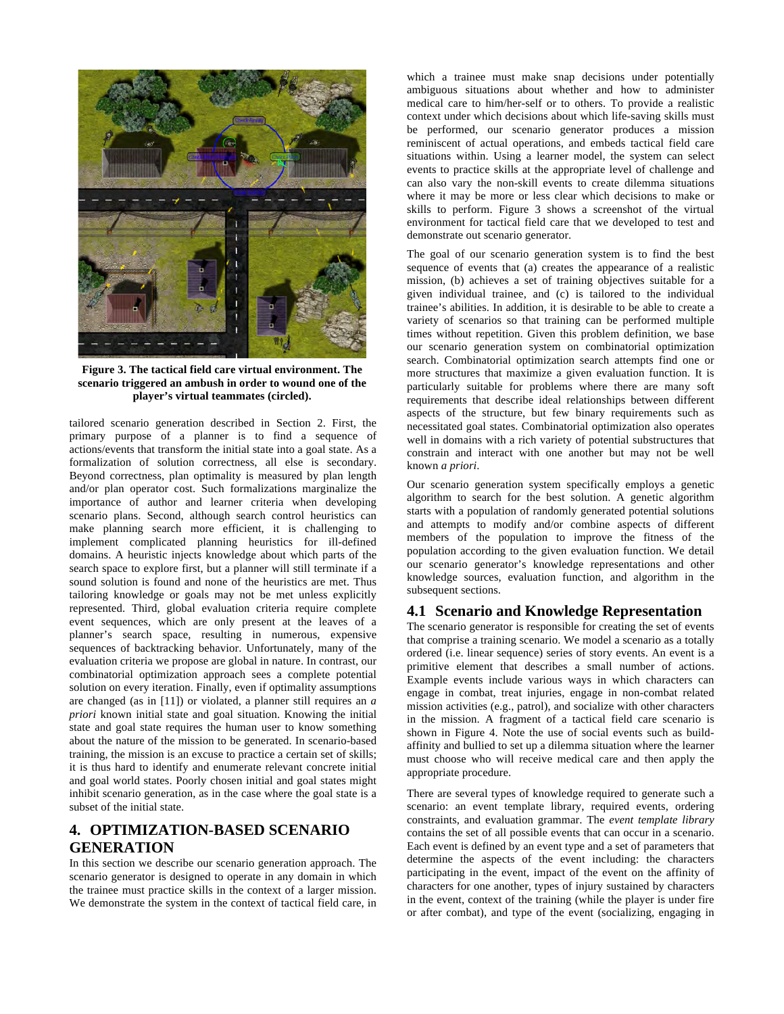

**Figure 3. The tactical field care virtual environment. The scenario triggered an ambush in order to wound one of the player's virtual teammates (circled).**

tailored scenario generation described in Section 2. First, the primary purpose of a planner is to find a sequence of actions/events that transform the initial state into a goal state. As a formalization of solution correctness, all else is secondary. Beyond correctness, plan optimality is measured by plan length and/or plan operator cost. Such formalizations marginalize the importance of author and learner criteria when developing scenario plans. Second, although search control heuristics can make planning search more efficient, it is challenging to implement complicated planning heuristics for ill-defined domains. A heuristic injects knowledge about which parts of the search space to explore first, but a planner will still terminate if a sound solution is found and none of the heuristics are met. Thus tailoring knowledge or goals may not be met unless explicitly represented. Third, global evaluation criteria require complete event sequences, which are only present at the leaves of a planner's search space, resulting in numerous, expensive sequences of backtracking behavior. Unfortunately, many of the evaluation criteria we propose are global in nature. In contrast, our combinatorial optimization approach sees a complete potential solution on every iteration. Finally, even if optimality assumptions are changed (as in [11]) or violated, a planner still requires an *a priori* known initial state and goal situation. Knowing the initial state and goal state requires the human user to know something about the nature of the mission to be generated. In scenario-based training, the mission is an excuse to practice a certain set of skills; it is thus hard to identify and enumerate relevant concrete initial and goal world states. Poorly chosen initial and goal states might inhibit scenario generation, as in the case where the goal state is a subset of the initial state.

# **4. OPTIMIZATION-BASED SCENARIO GENERATION**

In this section we describe our scenario generation approach. The scenario generator is designed to operate in any domain in which the trainee must practice skills in the context of a larger mission. We demonstrate the system in the context of tactical field care, in

which a trainee must make snap decisions under potentially ambiguous situations about whether and how to administer medical care to him/her-self or to others. To provide a realistic context under which decisions about which life-saving skills must be performed, our scenario generator produces a mission reminiscent of actual operations, and embeds tactical field care situations within. Using a learner model, the system can select events to practice skills at the appropriate level of challenge and can also vary the non-skill events to create dilemma situations where it may be more or less clear which decisions to make or skills to perform. Figure 3 shows a screenshot of the virtual environment for tactical field care that we developed to test and demonstrate out scenario generator.

The goal of our scenario generation system is to find the best sequence of events that (a) creates the appearance of a realistic mission, (b) achieves a set of training objectives suitable for a given individual trainee, and (c) is tailored to the individual trainee's abilities. In addition, it is desirable to be able to create a variety of scenarios so that training can be performed multiple times without repetition. Given this problem definition, we base our scenario generation system on combinatorial optimization search. Combinatorial optimization search attempts find one or more structures that maximize a given evaluation function. It is particularly suitable for problems where there are many soft requirements that describe ideal relationships between different aspects of the structure, but few binary requirements such as necessitated goal states. Combinatorial optimization also operates well in domains with a rich variety of potential substructures that constrain and interact with one another but may not be well known *a priori*.

Our scenario generation system specifically employs a genetic algorithm to search for the best solution. A genetic algorithm starts with a population of randomly generated potential solutions and attempts to modify and/or combine aspects of different members of the population to improve the fitness of the population according to the given evaluation function. We detail our scenario generator's knowledge representations and other knowledge sources, evaluation function, and algorithm in the subsequent sections.

## **4.1 Scenario and Knowledge Representation**

The scenario generator is responsible for creating the set of events that comprise a training scenario. We model a scenario as a totally ordered (i.e. linear sequence) series of story events. An event is a primitive element that describes a small number of actions. Example events include various ways in which characters can engage in combat, treat injuries, engage in non-combat related mission activities (e.g., patrol), and socialize with other characters in the mission. A fragment of a tactical field care scenario is shown in Figure 4. Note the use of social events such as buildaffinity and bullied to set up a dilemma situation where the learner must choose who will receive medical care and then apply the appropriate procedure.

There are several types of knowledge required to generate such a scenario: an event template library, required events, ordering constraints, and evaluation grammar. The *event template library* contains the set of all possible events that can occur in a scenario. Each event is defined by an event type and a set of parameters that determine the aspects of the event including: the characters participating in the event, impact of the event on the affinity of characters for one another, types of injury sustained by characters in the event, context of the training (while the player is under fire or after combat), and type of the event (socializing, engaging in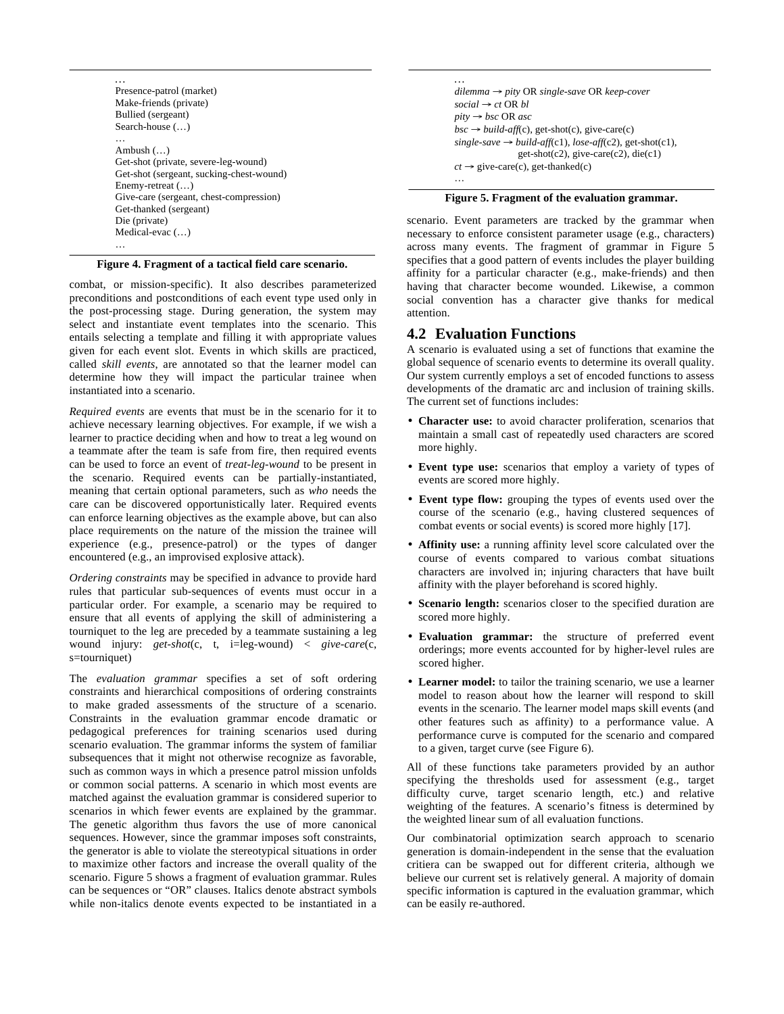*…* Presence-patrol (market) Make-friends (private) Bullied (sergeant) Search-house (…)

… Ambush (…) Get-shot (private, severe-leg-wound) Get-shot (sergeant, sucking-chest-wound) Enemy-retreat (…) Give-care (sergeant, chest-compression) Get-thanked (sergeant) Die (private) Medical-evac (…)

#### **Figure 4. Fragment of a tactical field care scenario.**

combat, or mission-specific). It also describes parameterized preconditions and postconditions of each event type used only in the post-processing stage. During generation, the system may select and instantiate event templates into the scenario. This entails selecting a template and filling it with appropriate values given for each event slot. Events in which skills are practiced, called *skill events*, are annotated so that the learner model can determine how they will impact the particular trainee when instantiated into a scenario.

*Required events* are events that must be in the scenario for it to achieve necessary learning objectives. For example, if we wish a learner to practice deciding when and how to treat a leg wound on a teammate after the team is safe from fire, then required events can be used to force an event of *treat-leg-wound* to be present in the scenario. Required events can be partially-instantiated, meaning that certain optional parameters, such as *who* needs the care can be discovered opportunistically later. Required events can enforce learning objectives as the example above, but can also place requirements on the nature of the mission the trainee will experience (e.g., presence-patrol) or the types of danger encountered (e.g., an improvised explosive attack).

*Ordering constraints* may be specified in advance to provide hard rules that particular sub-sequences of events must occur in a particular order. For example, a scenario may be required to ensure that all events of applying the skill of administering a tourniquet to the leg are preceded by a teammate sustaining a leg wound injury: *get-shot*(c, t, i=leg-wound) < *give-care*(c, s=tourniquet)

The *evaluation grammar* specifies a set of soft ordering constraints and hierarchical compositions of ordering constraints to make graded assessments of the structure of a scenario. Constraints in the evaluation grammar encode dramatic or pedagogical preferences for training scenarios used during scenario evaluation. The grammar informs the system of familiar subsequences that it might not otherwise recognize as favorable, such as common ways in which a presence patrol mission unfolds or common social patterns. A scenario in which most events are matched against the evaluation grammar is considered superior to scenarios in which fewer events are explained by the grammar. The genetic algorithm thus favors the use of more canonical sequences. However, since the grammar imposes soft constraints, the generator is able to violate the stereotypical situations in order to maximize other factors and increase the overall quality of the scenario. Figure 5 shows a fragment of evaluation grammar. Rules can be sequences or "OR" clauses. Italics denote abstract symbols while non-italics denote events expected to be instantiated in a

*… dilemma* → *pity* OR *single-save* OR *keep-cover social* → *ct* OR *bl*   $pity \rightarrow bsc \text{ OR } asc$  $bsc \rightarrow build\text{-}aff(c)$ , get-shot(c), give-care(c) *single-save* → *build-aff*(c1), *lose-aff*(c2), get-shot(c1), get-shot(c2), give-care(c2), die(c1)  $ct \rightarrow$  give-care(c), get-thanked(c) …

#### **Figure 5. Fragment of the evaluation grammar.**

scenario. Event parameters are tracked by the grammar when necessary to enforce consistent parameter usage (e.g., characters) across many events. The fragment of grammar in Figure 5 specifies that a good pattern of events includes the player building affinity for a particular character (e.g., make-friends) and then having that character become wounded. Likewise, a common social convention has a character give thanks for medical attention.

### **4.2 Evaluation Functions**

A scenario is evaluated using a set of functions that examine the global sequence of scenario events to determine its overall quality. Our system currently employs a set of encoded functions to assess developments of the dramatic arc and inclusion of training skills. The current set of functions includes:

- **Character use:** to avoid character proliferation, scenarios that maintain a small cast of repeatedly used characters are scored more highly.
- **Event type use:** scenarios that employ a variety of types of events are scored more highly.
- **Event type flow:** grouping the types of events used over the course of the scenario (e.g., having clustered sequences of combat events or social events) is scored more highly [17].
- **Affinity use:** a running affinity level score calculated over the course of events compared to various combat situations characters are involved in; injuring characters that have built affinity with the player beforehand is scored highly.
- **Scenario length:** scenarios closer to the specified duration are scored more highly.
- **Evaluation grammar:** the structure of preferred event orderings; more events accounted for by higher-level rules are scored higher.
- **Learner model:** to tailor the training scenario, we use a learner model to reason about how the learner will respond to skill events in the scenario. The learner model maps skill events (and other features such as affinity) to a performance value. A performance curve is computed for the scenario and compared to a given, target curve (see Figure 6).

All of these functions take parameters provided by an author specifying the thresholds used for assessment (e.g., target difficulty curve, target scenario length, etc.) and relative weighting of the features. A scenario's fitness is determined by the weighted linear sum of all evaluation functions.

Our combinatorial optimization search approach to scenario generation is domain-independent in the sense that the evaluation critiera can be swapped out for different criteria, although we believe our current set is relatively general. A majority of domain specific information is captured in the evaluation grammar, which can be easily re-authored.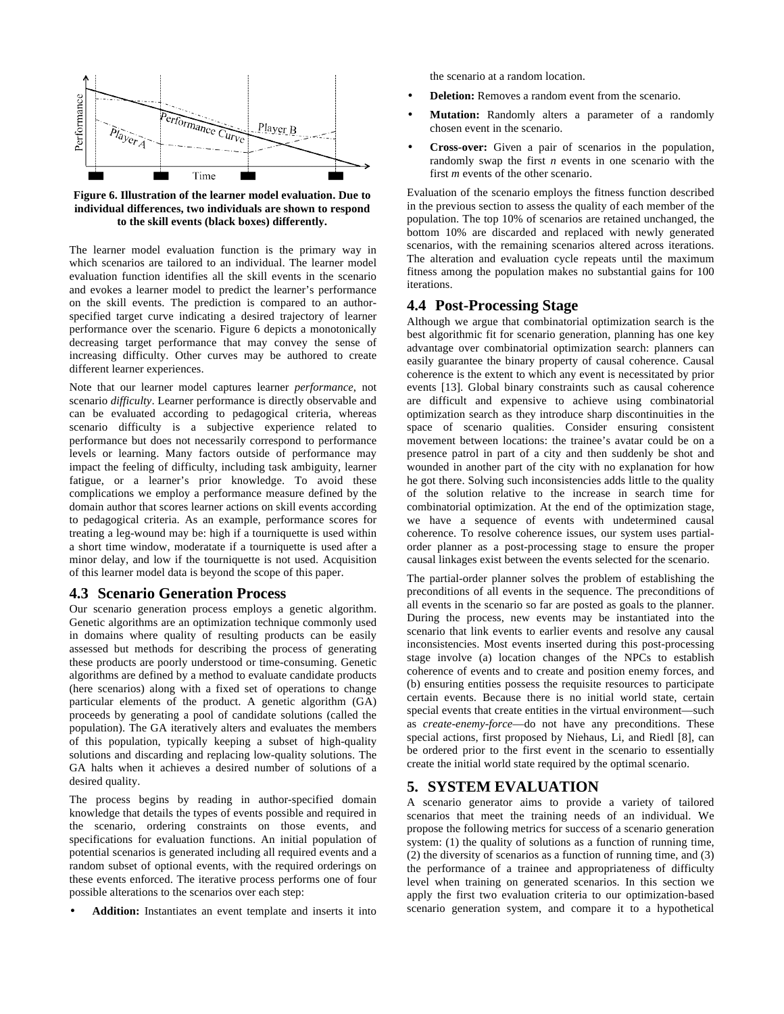

**Figure 6. Illustration of the learner model evaluation. Due to individual differences, two individuals are shown to respond to the skill events (black boxes) differently.**

The learner model evaluation function is the primary way in which scenarios are tailored to an individual. The learner model evaluation function identifies all the skill events in the scenario and evokes a learner model to predict the learner's performance on the skill events. The prediction is compared to an authorspecified target curve indicating a desired trajectory of learner performance over the scenario. Figure 6 depicts a monotonically decreasing target performance that may convey the sense of increasing difficulty. Other curves may be authored to create different learner experiences.

Note that our learner model captures learner *performance*, not scenario *difficulty*. Learner performance is directly observable and can be evaluated according to pedagogical criteria, whereas scenario difficulty is a subjective experience related to performance but does not necessarily correspond to performance levels or learning. Many factors outside of performance may impact the feeling of difficulty, including task ambiguity, learner fatigue, or a learner's prior knowledge. To avoid these complications we employ a performance measure defined by the domain author that scores learner actions on skill events according to pedagogical criteria. As an example, performance scores for treating a leg-wound may be: high if a tourniquette is used within a short time window, moderatate if a tourniquette is used after a minor delay, and low if the tourniquette is not used. Acquisition of this learner model data is beyond the scope of this paper.

## **4.3 Scenario Generation Process**

Our scenario generation process employs a genetic algorithm. Genetic algorithms are an optimization technique commonly used in domains where quality of resulting products can be easily assessed but methods for describing the process of generating these products are poorly understood or time-consuming. Genetic algorithms are defined by a method to evaluate candidate products (here scenarios) along with a fixed set of operations to change particular elements of the product. A genetic algorithm (GA) proceeds by generating a pool of candidate solutions (called the population). The GA iteratively alters and evaluates the members of this population, typically keeping a subset of high-quality solutions and discarding and replacing low-quality solutions. The GA halts when it achieves a desired number of solutions of a desired quality.

The process begins by reading in author-specified domain knowledge that details the types of events possible and required in the scenario, ordering constraints on those events, and specifications for evaluation functions. An initial population of potential scenarios is generated including all required events and a random subset of optional events, with the required orderings on these events enforced. The iterative process performs one of four possible alterations to the scenarios over each step:

• **Addition:** Instantiates an event template and inserts it into

the scenario at a random location.

- **Deletion:** Removes a random event from the scenario.
- **Mutation:** Randomly alters a parameter of a randomly chosen event in the scenario.
- **Cross-over:** Given a pair of scenarios in the population, randomly swap the first *n* events in one scenario with the first *m* events of the other scenario.

Evaluation of the scenario employs the fitness function described in the previous section to assess the quality of each member of the population. The top 10% of scenarios are retained unchanged, the bottom 10% are discarded and replaced with newly generated scenarios, with the remaining scenarios altered across iterations. The alteration and evaluation cycle repeats until the maximum fitness among the population makes no substantial gains for 100 iterations.

## **4.4 Post-Processing Stage**

Although we argue that combinatorial optimization search is the best algorithmic fit for scenario generation, planning has one key advantage over combinatorial optimization search: planners can easily guarantee the binary property of causal coherence. Causal coherence is the extent to which any event is necessitated by prior events [13]. Global binary constraints such as causal coherence are difficult and expensive to achieve using combinatorial optimization search as they introduce sharp discontinuities in the space of scenario qualities. Consider ensuring consistent movement between locations: the trainee's avatar could be on a presence patrol in part of a city and then suddenly be shot and wounded in another part of the city with no explanation for how he got there. Solving such inconsistencies adds little to the quality of the solution relative to the increase in search time for combinatorial optimization. At the end of the optimization stage, we have a sequence of events with undetermined causal coherence. To resolve coherence issues, our system uses partialorder planner as a post-processing stage to ensure the proper causal linkages exist between the events selected for the scenario.

The partial-order planner solves the problem of establishing the preconditions of all events in the sequence. The preconditions of all events in the scenario so far are posted as goals to the planner. During the process, new events may be instantiated into the scenario that link events to earlier events and resolve any causal inconsistencies. Most events inserted during this post-processing stage involve (a) location changes of the NPCs to establish coherence of events and to create and position enemy forces, and (b) ensuring entities possess the requisite resources to participate certain events. Because there is no initial world state, certain special events that create entities in the virtual environment—such as *create-enemy-force*—do not have any preconditions. These special actions, first proposed by Niehaus, Li, and Riedl [8], can be ordered prior to the first event in the scenario to essentially create the initial world state required by the optimal scenario.

## **5. SYSTEM EVALUATION**

A scenario generator aims to provide a variety of tailored scenarios that meet the training needs of an individual. We propose the following metrics for success of a scenario generation system: (1) the quality of solutions as a function of running time. (2) the diversity of scenarios as a function of running time, and (3) the performance of a trainee and appropriateness of difficulty level when training on generated scenarios. In this section we apply the first two evaluation criteria to our optimization-based scenario generation system, and compare it to a hypothetical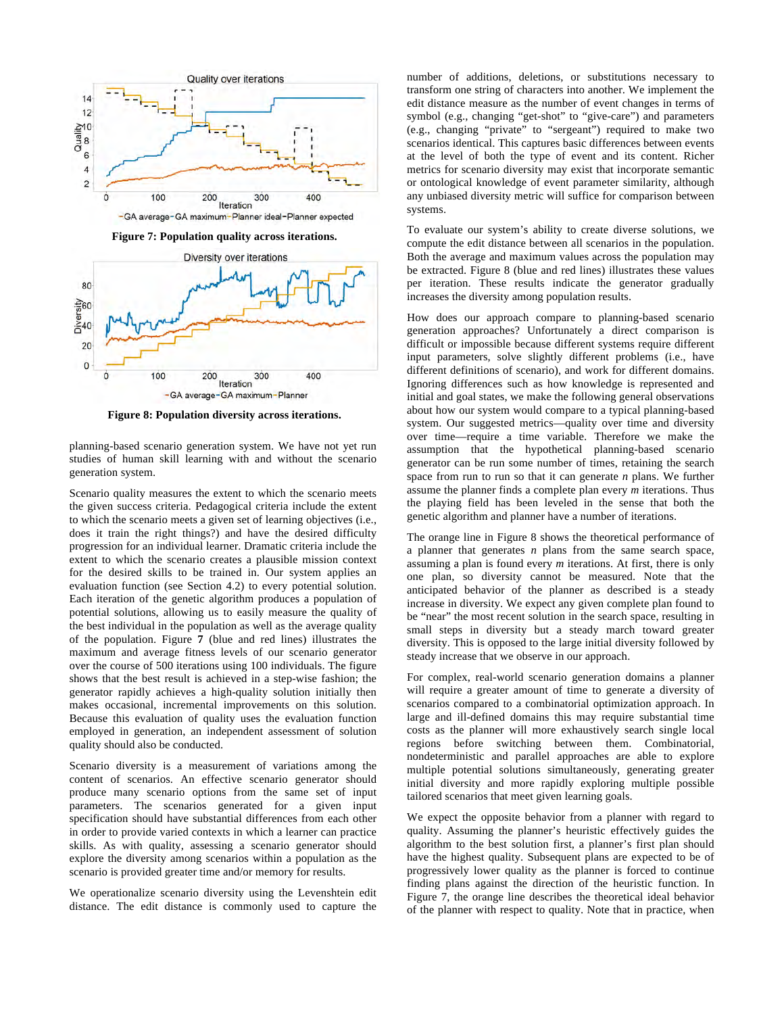



**Figure 8: Population diversity across iterations.**

planning-based scenario generation system. We have not yet run studies of human skill learning with and without the scenario generation system.

Scenario quality measures the extent to which the scenario meets the given success criteria. Pedagogical criteria include the extent to which the scenario meets a given set of learning objectives (i.e., does it train the right things?) and have the desired difficulty progression for an individual learner. Dramatic criteria include the extent to which the scenario creates a plausible mission context for the desired skills to be trained in. Our system applies an evaluation function (see Section 4.2) to every potential solution. Each iteration of the genetic algorithm produces a population of potential solutions, allowing us to easily measure the quality of the best individual in the population as well as the average quality of the population. Figure **7** (blue and red lines) illustrates the maximum and average fitness levels of our scenario generator over the course of 500 iterations using 100 individuals. The figure shows that the best result is achieved in a step-wise fashion; the generator rapidly achieves a high-quality solution initially then makes occasional, incremental improvements on this solution. Because this evaluation of quality uses the evaluation function employed in generation, an independent assessment of solution quality should also be conducted.

Scenario diversity is a measurement of variations among the content of scenarios. An effective scenario generator should produce many scenario options from the same set of input parameters. The scenarios generated for a given input specification should have substantial differences from each other in order to provide varied contexts in which a learner can practice skills. As with quality, assessing a scenario generator should explore the diversity among scenarios within a population as the scenario is provided greater time and/or memory for results.

We operationalize scenario diversity using the Levenshtein edit distance. The edit distance is commonly used to capture the

number of additions, deletions, or substitutions necessary to transform one string of characters into another. We implement the edit distance measure as the number of event changes in terms of symbol (e.g., changing "get-shot" to "give-care") and parameters (e.g., changing "private" to "sergeant") required to make two scenarios identical. This captures basic differences between events at the level of both the type of event and its content. Richer metrics for scenario diversity may exist that incorporate semantic or ontological knowledge of event parameter similarity, although any unbiased diversity metric will suffice for comparison between systems.

To evaluate our system's ability to create diverse solutions, we compute the edit distance between all scenarios in the population. Both the average and maximum values across the population may be extracted. Figure 8 (blue and red lines) illustrates these values per iteration. These results indicate the generator gradually increases the diversity among population results.

How does our approach compare to planning-based scenario generation approaches? Unfortunately a direct comparison is difficult or impossible because different systems require different input parameters, solve slightly different problems (i.e., have different definitions of scenario), and work for different domains. Ignoring differences such as how knowledge is represented and initial and goal states, we make the following general observations about how our system would compare to a typical planning-based system. Our suggested metrics—quality over time and diversity over time—require a time variable. Therefore we make the assumption that the hypothetical planning-based scenario generator can be run some number of times, retaining the search space from run to run so that it can generate *n* plans. We further assume the planner finds a complete plan every *m* iterations. Thus the playing field has been leveled in the sense that both the genetic algorithm and planner have a number of iterations.

The orange line in Figure 8 shows the theoretical performance of a planner that generates *n* plans from the same search space, assuming a plan is found every *m* iterations. At first, there is only one plan, so diversity cannot be measured. Note that the anticipated behavior of the planner as described is a steady increase in diversity. We expect any given complete plan found to be "near" the most recent solution in the search space, resulting in small steps in diversity but a steady march toward greater diversity. This is opposed to the large initial diversity followed by steady increase that we observe in our approach.

For complex, real-world scenario generation domains a planner will require a greater amount of time to generate a diversity of scenarios compared to a combinatorial optimization approach. In large and ill-defined domains this may require substantial time costs as the planner will more exhaustively search single local regions before switching between them. Combinatorial, nondeterministic and parallel approaches are able to explore multiple potential solutions simultaneously, generating greater initial diversity and more rapidly exploring multiple possible tailored scenarios that meet given learning goals.

We expect the opposite behavior from a planner with regard to quality. Assuming the planner's heuristic effectively guides the algorithm to the best solution first, a planner's first plan should have the highest quality. Subsequent plans are expected to be of progressively lower quality as the planner is forced to continue finding plans against the direction of the heuristic function. In Figure 7, the orange line describes the theoretical ideal behavior of the planner with respect to quality. Note that in practice, when